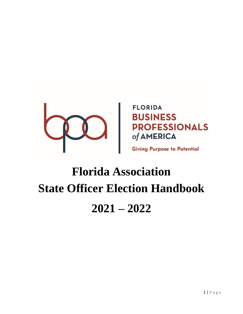

**FLORIDA DESPROFESSIONALS** 

**Giving Purpose to Potential** 

# **Florida Association State Officer Election Handbook 2021 – 2022**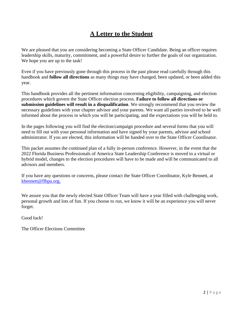# **A Letter to the Student**

We are pleased that you are considering becoming a State Officer Candidate. Being an officer requires leadership skills, maturity, commitment, and a powerful desire to further the goals of our organization. We hope you are up to the task!

Even if you have previously gone through this process in the past please read carefully through this handbook and **follow all directions** as many things may have changed, been updated, or been added this year.

This handbook provides all the pertinent information concerning eligibility, campaigning, and election procedures which govern the State Officer election process. **Failure to follow all directions or submission guidelines will result in a disqualification**. We strongly recommend that you review the necessary guidelines with your chapter advisor and your parents. We want all parties involved to be well informed about the process in which you will be participating, and the expectations you will be held to.

In the pages following you will find the election/campaign procedure and several forms that you will need to fill out with your personal information and have signed by your parents, advisor and school administrator. If you are elected, this information will be handed over to the State Officer Coordinator.

This packet assumes the continued plan of a fully in-person conference. However, in the event that the 2022 Florida Business Professionals of America State Leadership Conference is moved to a virtual or hybrid model, changes to the election procedures will have to be made and will be communicated to all advisors and members.

If you have any questions or concerns, please contact the State Officer Coordinator, Kyle Bennett, at [kbennett@flbpa.org.](mailto:kbennett@flbpa.org)

We assure you that the newly elected State Officer Team will have a year filled with challenging work, personal growth and lots of fun. If you choose to run, we know it will be an experience you will never forget.

Good luck!

The Officer Elections Committee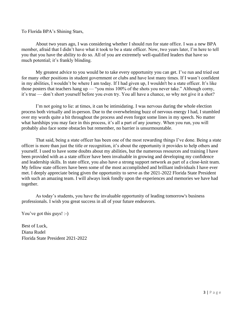To Florida BPA's Shining Stars,

About two years ago, I was considering whether I should run for state office. I was a new BPA member, afraid that I didn't have what it took to be a state officer. Now, two years later, I'm here to tell you that you have the ability to do so. All of you are extremely well-qualified leaders that have so much potential; it's frankly blinding.

My greatest advice to you would be to take every opportunity you can get. I've run and tried out for many other positions in student government or clubs and have lost many times. If I wasn't confident in my abilities, I wouldn't be where I am today. If I had given up, I wouldn't be a state officer. It's like those posters that teachers hang up — "you miss 100% of the shots you never take." Although corny, it's true — don't short yourself before you even try. You all have a chance, so why not give it a shot?

I'm not going to lie: at times, it can be intimidating. I was nervous during the whole election process both virtually and in-person. Due to the overwhelming buzz of nervous energy I had, I stumbled over my words quite a bit throughout the process and even forgot some lines in my speech. No matter what hardships you may face in this process, it's all a part of any journey. When you run, you will probably also face some obstacles but remember, no barrier is unsurmountable.

That said, being a state officer has been one of the most rewarding things I've done. Being a state officer is more than just the title or recognition, it's about the opportunity it provides to help others and yourself. I used to have some doubts about my abilities, but the numerous resources and training I have been provided with as a state officer have been invaluable in growing and developing my confidence and leadership skills. In state office, you also have a strong support network as part of a close-knit team. My fellow state officers have been some of the most accomplished and brilliant individuals I have ever met. I deeply appreciate being given the opportunity to serve as the 2021-2022 Florida State President with such an amazing team. I will always look fondly upon the experiences and memories we have had together.

As today's students, you have the invaluable opportunity of leading tomorrow's business professionals. I wish you great success in all of your future endeavors.

You've got this guys! :-)

Best of Luck, Diana Rudel Florida State President 2021-2022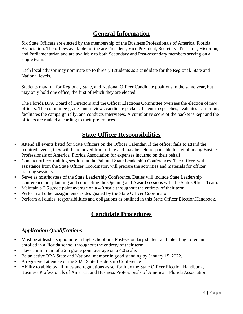# **General Information**

Six State Officers are elected by the membership of the Business Professionals of America, Florida Association. The offices available for the are President, Vice President, Secretary, Treasurer, Historian, and Parliamentarian and are available to both Secondary and Post-secondary members serving on a single team.

Each local advisor may nominate up to three (3) students as a candidate for the Regional, State and National levels.

Students may run for Regional, State, and National Officer Candidate positions in the same year, but may only hold one office, the first of which they are elected.

The Florida BPA Board of Directors and the Officer Elections Committee oversees the election of new officers. The committee grades and reviews candidate packets, listens to speeches, evaluates transcripts, facilitates the campaign rally, and conducts interviews. A cumulative score of the packet is kept and the officers are ranked according to their preferences.

# **State Officer Responsibilities**

- Attend all events listed for State Officers on the Officer Calendar. If the officer fails to attend the required events, they will be removed from office and may be held responsible for reimbursing Business Professionals of America, Florida Association for expenses incurred on their behalf.
- Conduct officer-training sessions at the Fall and State Leadership Conferences. The officer, with assistance from the State Officer Coordinator, will prepare the activities and materials for officer training sessions.
- Serve as host/hostess of the State Leadership Conference. Duties will include State Leadership Conference pre-planning and conducting the Opening and Award sessions with the State Officer Team.
- Maintain a 2.5 grade point average on a 4.0 scale throughout the entirety of their term
- Perform all other assignments as designated by the State Officer Coordinator
- Perform all duties, responsibilities and obligations as outlined in this State Officer Election Handbook.

# **Candidate Procedures**

#### *Application Qualifications*

- Must be at least a sophomore in high school or a Post-secondary student and intending to remain enrolled in a Florida school throughout the entirety of their term.
- Have a minimum of a 2.5 grade point average on a 4.0 scale.
- Be an active BPA State and National member in good standing by January 15, 2022.
- A registered attendee of the 2022 State Leadership Conference
- Ability to abide by all rules and regulations as set forth by the State Officer Election Handbook, Business Professionals of America, and Business Professionals of America – Florida Association.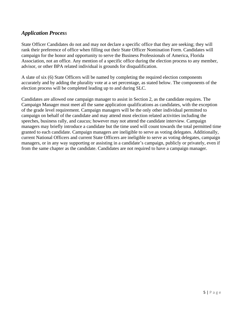## *Application Process*

State Officer Candidates do not and may not declare a specific office that they are seeking; they will rank their preference of office when filling out their State Officer Nomination Form. Candidates will campaign for the honor and opportunity to serve the Business Professionals of America, Florida Association, not an office. Any mention of a specific office during the election process to any member, advisor, or other BPA related individual is grounds for disqualification.

A slate of six (6) State Officers will be named by completing the required election components accurately and by adding the plurality vote at a set percentage, as stated below. The components of the election process will be completed leading up to and during SLC.

Candidates are allowed one campaign manager to assist in Section 2, as the candidate requires. The Campaign Manager must meet all the same application qualifications as candidates, with the exception of the grade level requirement. Campaign managers will be the only other individual permitted to campaign on behalf of the candidate and may attend most election related activities including the speeches, business rally, and caucus; however may not attend the candidate interview. Campaign managers may briefly introduce a candidate but the time used will count towards the total permitted time granted to each candidate. Campaign managers are ineligible to serve as voting delegates. Additionally, current National Officers and current State Officers are ineligible to serve as voting delegates, campaign managers, or in any way supporting or assisting in a candidate's campaign, publicly or privately, even if from the same chapter as the candidate. Candidates are not required to have a campaign manager.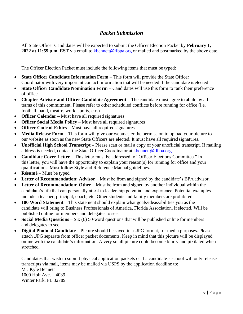## *Packet Submission*

All State Officer Candidates will be expected to submit the Officer Election Packet by **February 1, 2022 at 11:59 p.m. EST** via email to [kbennett@flbpa.org](mailto:kbennett@flbpa.org) or mailed and postmarked by the above date.

The Officer Election Packet must include the following items that must be typed:

- **State Officer Candidate Information Form** This form will provide the State Officer Coordinator with very important contact information that will be needed if the candidate is elected
- **State Officer Candidate Nomination Form** Candidates will use this form to rank their preference of office
- **Chapter Advisor and Officer Candidate Agreement** The candidate must agree to abide by all terms of this commitment. Please refer to other scheduled conflicts before running for office (i.e. football, band, theatre, work, sports, etc.)
- **Officer Calendar** Must have all required signatures
- **Officer Social Media Policy** Must have all required signatures
- **Officer Code of Ethics** Must have all required signatures
- **Media Release Form** This form will give our webmaster the permission to upload your picture to our website as soon as the new State Officers are elected. It must have all required signatures.
- **Unofficial High School Transcript –** Please scan or mail a copy of your unofficial transcript. If mailing address is needed, contact the State Officer Coordinator at [kbennett@flbpa.org.](mailto:kbennett@flbpa.org)
- **Candidate Cover Letter**  This letter must be addressed to "Officer Elections Committee." In this letter, you will have the opportunity to explain your reason(s) for running for office and your qualifications. Must follow Style and Reference Manual guidelines.
- **Résumé** Must be typed.
- **Letter of Recommendation: Advisor** Must be from and signed by the candidate's BPA advisor.
- Letter of Recommendation: Other Must be from and signed by another individual within the candidate's life that can personally attest to leadership potential and experience. Potential examples include a teacher, principal, coach, etc. Other students and family members are prohibited.
- **100 Word Statement** This statement should explain what goals/ideas/abilities you as the candidate will bring to Business Professionals of America, Florida Association, if elected. Will be published online for members and delegates to see.
- **Social Media Questions** Six (6) 50-word questions that will be published online for members and delegates to see.
- **Digital Photo of Candidate** Picture should be saved in a .JPG format, for media purposes. Please attach .JPG separate from officer packet documents. Keep in mind that this picture will be displayed online with the candidate's information. A very small picture could become blurry and pixilated when stretched.

Candidates that wish to submit physical application packets or if a candidate's school will only release transcripts via mail, items may be mailed via USPS by the application deadline to: Mr. Kyle Bennett 1000 Holt Ave. – 4039 Winter Park, FL 32789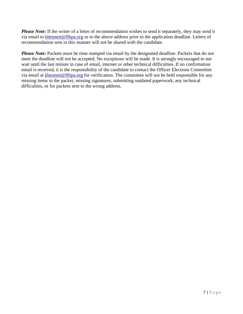*Please Note:* If the writer of a letter of recommendation wishes to send it separately, they may send it via email to [kbennett@flbpa.org](mailto:kbennett@flbpa.org) or to the above address prior to the application deadline. Letters of recommendation sent in this manner will not be shared with the candidate.

**Please Note:** Packets must be time stamped via email by the designated deadline. Packets that do not meet the deadline will not be accepted. No exceptions will be made. It is strongly encouraged to not wait until the last minute in case of email, internet or other technical difficulties. If no confirmation email is received, it is the responsibility of the candidate to contact the Officer Elections Committee via email at [kbennett@flbpa.org](mailto:kbennett@flbpa.org) for verification. The committee will not be held responsible for any missing items in the packet, missing signatures, submitting outdated paperwork, any technical difficulties, or for packets sent to the wrong address.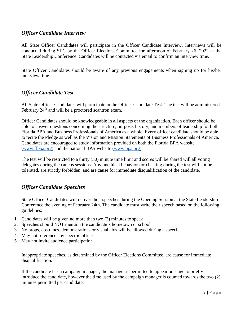#### *Officer Candidate Interview*

All State Officer Candidates will participate in the Officer Candidate Interview. Interviews will be conducted during SLC by the Officer Elections Committee the afternoon of February 26, 2022 at the State Leadership Conference. Candidates will be contacted via email to confirm an interview time.

State Officer Candidates should be aware of any previous engagements when signing up for his/her interview time.

#### *Officer Candidate Test*

All State Officer Candidates will participate in the Officer Candidate Test. The test will be administered February  $24<sup>th</sup>$  and will be a proctored scantron exam.

Officer Candidates should be knowledgeable in all aspects of the organization. Each officer should be able to answer questions concerning the structure, purpose, history, and members of leadership for both Florida BPA and Business Professionals of America as a whole. Every officer candidate should be able to recite the Pledge as well as the Vision and Mission Statements of Business Professionals of America. Candidates are encouraged to study information provided on both the Florida BPA website [\(www.flbpa.org\)](http://www.texasbpa.com/) and the national BPA website [\(www.bpa.org\)](http://www.bpa.org/).

The test will be restricted to a thirty (30) minute time limit and scores will be shared will all voting delegates during the caucus sessions. Any unethical behaviors or cheating during the test will not be tolerated, are strictly forbidden, and are cause for immediate disqualification of the candidate.

#### *Officer Candidate Speeches*

State Officer Candidates will deliver their speeches during the Opening Session at the State Leadership Conference the evening of February 24th. The candidate must write their speech based on the following guidelines:

- 1. Candidates will be given no more than two (2) minutes to speak
- 2. Speeches should NOT mention the candidate's hometown or school
- 3. No props, costumes, demonstrations or visual aids will be allowed during a speech
- 4. May not reference any specific office
- 5. May not invite audience participation

Inappropriate speeches, as determined by the Officer Elections Committee, are cause for immediate disqualification.

If the candidate has a campaign manager, the manager is permitted to appear on stage to briefly introduce the candidate, however the time used by the campaign manager is counted towards the two (2) minutes permitted per candidate.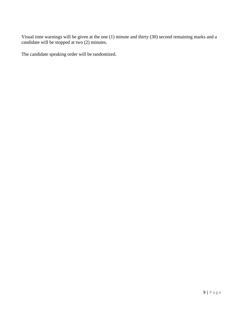Visual time warnings will be given at the one (1) minute and thirty (30) second remaining marks and a candidate will be stopped at two (2) minutes.

The candidate speaking order will be randomized.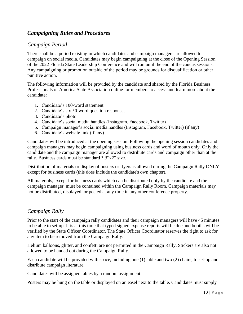## *Campaigning Rules and Procedures*

#### *Campaign Period*

There shall be a period existing in which candidates and campaign managers are allowed to campaign on social media. Candidates may begin campaigning at the close of the Opening Session of the 2022 Florida State Leadership Conference and will run until the end of the caucus sessions. Any campaigning or promotion outside of the period may be grounds for disqualification or other punitive action.

The following information will be provided by the candidate and shared by the Florida Business Professionals of America State Association online for members to access and learn more about the candidate:

- 1. Candidate's 100-word statement
- 2. Candidate's six 50-word question responses
- 3. Candidate's photo
- 4. Candidate's social media handles (Instagram, Facebook, Twitter)
- 5. Campaign manager's social media handles (Instagram, Facebook, Twitter) (if any)
- 6. Candidate's website link (if any)

Candidates will be introduced at the opening session. Following the opening session candidates and campaign managers may begin campaigning using business cards and word of mouth only. Only the candidate and the campaign manager are allowed to distribute cards and campaign other than at the rally. Business cards must be standard 3.5"x2" size.

Distribution of materials or display of posters or flyers is allowed during the Campaign Rally ONLY except for business cards (this does include the candidate's own chapter).

All materials, except for business cards which can be distributed only by the candidate and the campaign manager, must be contained within the Campaign Rally Room. Campaign materials may not be distributed, displayed, or posted at any time in any other conference property.

#### *Campaign Rally*

Prior to the start of the campaign rally candidates and their campaign managers will have 45 minutes to be able to set-up. It is at this time that typed signed expense reports will be due and booths will be verified by the State Officer Coordinator. The State Officer Coordinator reserves the right to ask for any item to be removed from the Campaign Rally.

Helium balloons, glitter, and confetti are not permitted in the Campaign Rally. Stickers are also not allowed to be handed out during the Campaign Rally.

Each candidate will be provided with space, including one (1) table and two (2) chairs, to set-up and distribute campaign literature.

Candidates will be assigned tables by a random assignment.

Posters may be hung on the table or displayed on an easel next to the table. Candidates must supply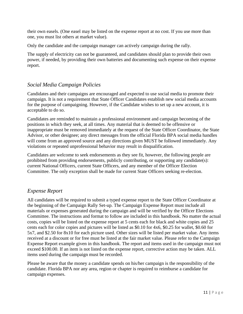their own easels. (One easel may be listed on the expense report at no cost. If you use more than one, you must list others at market value).

Only the candidate and the campaign manager can actively campaign during the rally.

The supply of electricity can not be guaranteed, and candidates should plan to provide their own power, if needed, by providing their own batteries and documenting such expense on their expense report.

#### *Social Media Campaign Policies*

Candidates and their campaigns are encouraged and expected to use social media to promote their campaign. It is not a requirement that State Officer Candidates establish new social media accounts for the purpose of campaigning. However, if the Candidate wishes to set up a new account, it is acceptable to do so.

Candidates are reminded to maintain a professional environment and campaign becoming of the positions in which they seek, at all times. Any material that is deemed to be offensive or inappropriate must be removed immediately at the request of the State Officer Coordinator, the State Advisor, or other designee; any direct messages from the official Florida BPA social media handles will come from an approved source and any directions given MUST be followed immediately. Any violations or repeated unprofessional behavior may result in disqualification.

Candidates are welcome to seek endorsements as they see fit, however, the following people are prohibited from providing endorsements, publicly contributing, or supporting any candidate(s): current National Officers, current State Officers, and any member of the Officer Election Committee. The only exception shall be made for current State Officers seeking re-election.

#### *Expense Report*

All candidates will be required to submit a typed expense report to the State Officer Coordinator at the beginning of the Campaign Rally Set-up. The Campaign Expense Report must include all materials or expenses generated during the campaign and will be verified by the Officer Elections Committee. The instructions and format to follow are included in this handbook. No matter the actual costs, copies will be listed on the expense report at 5 cents each for black and white copies and 25 cents each for color copies and pictures will be listed as \$0.10 for 4x6, \$0.25 for wallet, \$0.60 for 5x7, and \$2.50 for 8x10 for each picture used. Other sizes will be listed per market value. Any items received at a discount or for free must be listed at the fair market value. Please refer to the Campaign Expense Report example given in this handbook. The report and items used in the campaign must not exceed \$100.00. If an item is not listed on the expense report, corrective action may be taken. ALL items used during the campaign must be recorded.

Please be aware that the money a candidate spends on his/her campaign is the responsibility of the candidate. Florida BPA nor any area, region or chapter is required to reimburse a candidate for campaign expenses.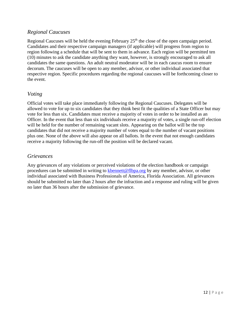## *Regional Caucuses*

Regional Caucuses will be held the evening February 25<sup>th</sup> the close of the open campaign period. Candidates and their respective campaign managers (if applicable) will progress from region to region following a schedule that will be sent to them in advance. Each region will be permitted ten (10) minutes to ask the candidate anything they want, however, is strongly encouraged to ask all candidates the same questions. An adult neutral moderator will be in each caucus room to ensure decorum. The caucuses will be open to any member, advisor, or other individual associated that respective region. Specific procedures regarding the regional caucuses will be forthcoming closer to the event.

#### *Voting*

Official votes will take place immediately following the Regional Caucuses. Delegates will be allowed to vote for up to six candidates that they think best fit the qualities of a State Officer but may vote for less than six. Candidates must receive a majority of votes in order to be installed as an Officer. In the event that less than six individuals receive a majority of votes, a single run-off election will be held for the number of remaining vacant slots. Appearing on the ballot will be the top candidates that did not receive a majority number of votes equal to the number of vacant positions plus one. None of the above will also appear on all ballots. In the event that not enough candidates receive a majority following the run-off the position will be declared vacant.

#### *Grievances*

Any grievances of any violations or perceived violations of the election handbook or campaign procedures can be submitted in writing to [kbennett@flbpa.org](mailto:kbennett@flbpa.org) by any member, advisor, or other individual associated with Business Professionals of America, Florida Association. All grievances should be submitted no later than 2 hours after the infraction and a response and ruling will be given no later than 36 hours after the submission of grievance.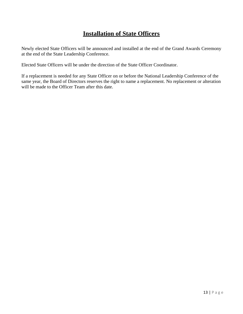# **Installation of State Officers**

Newly elected State Officers will be announced and installed at the end of the Grand Awards Ceremony at the end of the State Leadership Conference.

Elected State Officers will be under the direction of the State Officer Coordinator.

If a replacement is needed for any State Officer on or before the National Leadership Conference of the same year, the Board of Directors reserves the right to name a replacement. No replacement or alteration will be made to the Officer Team after this date.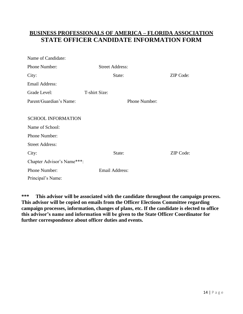# **BUSINESS PROFESSIONALS OF AMERICA – FLORIDA ASSOCIATION STATE OFFICER CANDIDATE INFORMATION FORM**

| Name of Candidate:         |                        |                  |
|----------------------------|------------------------|------------------|
| Phone Number:              | <b>Street Address:</b> |                  |
| City:                      | State:                 | ZIP Code:        |
| <b>Email Address:</b>      |                        |                  |
| Grade Level:               | T-shirt Size:          |                  |
| Parent/Guardian's Name:    | Phone Number:          |                  |
|                            |                        |                  |
| <b>SCHOOL INFORMATION</b>  |                        |                  |
| Name of School:            |                        |                  |
| Phone Number:              |                        |                  |
| <b>Street Address:</b>     |                        |                  |
| City:                      | State:                 | <b>ZIP</b> Code: |
| Chapter Advisor's Name***: |                        |                  |
| Phone Number:              | Email Address:         |                  |
| Principal's Name:          |                        |                  |

**\*\*\* This advisor will be associated with the candidate throughout the campaign process. This advisor will be copied on emails from the Officer Elections Committee regarding campaign processes, information, changes of plans, etc. If the candidate is elected to office this advisor's name and information will be given to the State Officer Coordinator for further correspondence about officer duties and events.**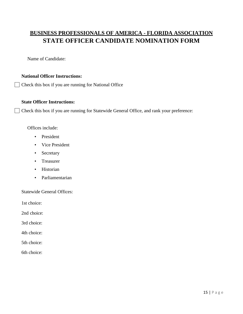# **BUSINESS PROFESSIONALS OF AMERICA - FLORIDA ASSOCIATION STATE OFFICER CANDIDATE NOMINATION FORM**

Name of Candidate:

#### **National Officer Instructions:**

Check this box if you are running for National Office

#### **State Officer Instructions:**

Check this box if you are running for Statewide General Office, and rank your preference:

Offices include:

- President
- Vice President
- Secretary
- Treasurer
- Historian
- Parliamentarian

Statewide General Offices:

1st choice:

2nd choice:

3rd choice:

4th choice:

- 5th choice:
- 6th choice: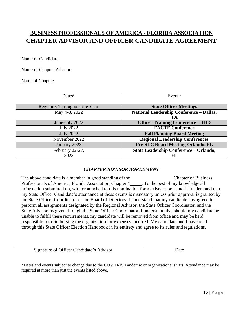# **BUSINESS PROFESSIONALS OF AMERICA - FLORIDA ASSOCIATION CHAPTER ADVISOR AND OFFICER CANDIDATE AGREEMENT**

Name of Candidate:

Name of Chapter Advisor:

Name of Chapter:

| $Dates*$                      | Event*                                   |
|-------------------------------|------------------------------------------|
|                               |                                          |
| Regularly Throughout the Year | <b>State Officer Meetings</b>            |
| May 4-8, 2022                 | National Leadership Conference - Dallas, |
|                               | TX                                       |
| June-July 2022                | <b>Officer Training Conference - TBD</b> |
| <b>July 2022</b>              | <b>FACTE Conference</b>                  |
| <b>July 2022</b>              | <b>Fall Planning Board Meeting</b>       |
| November 2022                 | <b>Regional Leadership Conferences</b>   |
| January 2023                  | <b>Pre-SLC Board Meeting-Orlando, FL</b> |
| February 22-27,               | State Leadership Conference - Orlando,   |
| 2023                          | FL                                       |

#### *CHAPTER ADVISOR AGREEMENT*

The above candidate is a member in good standing of the Chapter of Business Professionals of America, Florida Association, Chapter # . To the best of my knowledge all information submitted on, with or attached to this nomination form exists as presented. I understand that my State Officer Candidate's attendance at these events is mandatory unless prior approval is granted by the State Officer Coordinator or the Board of Directors. I understand that my candidate has agreed to perform all assignments designated by the Regional Advisor, the State Officer Coordinator, and the State Advisor, as given through the State Officer Coordinator. I understand that should my candidate be unable to fulfill these requirements, my candidate will be removed from office and may be held responsible for reimbursing the organization for expenses incurred. My candidate and I have read through this State Officer Election Handbook in its entirety and agree to its rules and regulations.

Signature of Officer Candidate's Advisor Date

\*Dates and events subject to change due to the COVID-19 Pandemic or organizational shifts. Attendance may be required at more than just the events listed above.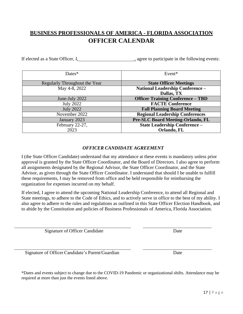# **BUSINESS PROFESSIONALS OF AMERICA - FLORIDA ASSOCIATION OFFICER CALENDAR**

If elected as a State Officer, I, agree to participate in the following events:

| Dates $*$                     | Event*                                   |
|-------------------------------|------------------------------------------|
| Regularly Throughout the Year | <b>State Officer Meetings</b>            |
| May 4-8, 2022                 | National Leadership Conference -         |
|                               | Dallas, TX                               |
| June-July 2022                | <b>Officer Training Conference - TBD</b> |
| <b>July 2022</b>              | <b>FACTE Conference</b>                  |
| <b>July 2022</b>              | <b>Fall Planning Board Meeting</b>       |
| November 2022                 | <b>Regional Leadership Conferences</b>   |
| January 2023                  | <b>Pre-SLC Board Meeting-Orlando, FL</b> |
| February 22-27,               | <b>State Leadership Conference -</b>     |
| 2023                          | Orlando, FL                              |

#### *OFFICER CANDIDATE AGREEMENT*

I (the State Officer Candidate) understand that my attendance at these events is mandatory unless prior approval is granted by the State Officer Coordinator, and the Board of Directors. I also agree to perform all assignments designated by the Regional Advisor, the State Officer Coordinator, and the State Advisor, as given through the State Officer Coordinator. I understand that should I be unable to fulfill these requirements, I may be removed from office and be held responsible for reimbursing the organization for expenses incurred on my behalf.

If elected, I agree to attend the upcoming National Leadership Conference, to attend all Regional and State meetings, to adhere to the Code of Ethics, and to actively serve in office to the best of my ability. I also agree to adhere to the rules and regulations as outlined in this State Officer Election Handbook, and to abide by the Constitution and policies of Business Professionals of America, Florida Association.

Signature of Officer Candidate Date

Signature of Officer Candidate's Parent/Guardian Date

\*Dates and events subject to change due to the COVID-19 Pandemic or organizational shifts. Attendance may be required at more than just the events listed above.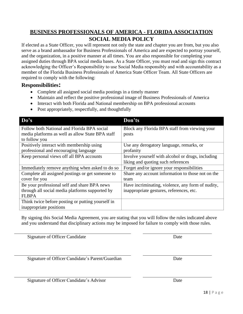## **BUSINESS PROFESSIONALS OF AMERICA - FLORIDA ASSOCIATION SOCIAL MEDIA POLICY**

If elected as a State Officer, you will represent not only the state and chapter you are from, but you also serve as a brand ambassador for Business Professionals of America and are expected to portray yourself, and the organization, in a positive manner at all times. You are also responsible for completing your assigned duties through BPA social media bases. As a State Officer, you must read and sign this contract acknowledging the Officer's Responsibility to use Social Media responsibly and with accountability as a member of the Florida Business Professionals of America State Officer Team. All State Officers are required to comply with the following:

#### **Responsibilities:**

- Complete all assigned social media postings in a timely manner
- Maintain and reflect the positive professional image of Business Professionals of America
- Interact with both Florida and National membership on BPA professional accounts
- Post appropriately, respectfully, and thoughtfully

| Do's                                              | Don'ts                                            |
|---------------------------------------------------|---------------------------------------------------|
| Follow both National and Florida BPA social       | Block any Florida BPA staff from viewing your     |
| media platforms as well as allow State BPA staff  | posts                                             |
| to follow you                                     |                                                   |
| Positively interact with membership using         | Use any derogatory language, remarks, or          |
| professional and encouraging language             | profanity                                         |
| Keep personal views off all BPA accounts          | Involve yourself with alcohol or drugs, including |
|                                                   | liking and quoting such references                |
| Immediately remove anything when asked to do so   | Forget and/or ignore your responsibilities        |
| Complete all assigned postings or get someone to  | Share any account information to those not on the |
| cover for you                                     | team                                              |
| Be your professional self and share BPA news      | Have incriminating, violence, any form of nudity, |
| through all social media platforms supported by   | inappropriate gestures, references, etc.          |
| <b>FLBPA</b>                                      |                                                   |
| Think twice before posting or putting yourself in |                                                   |
| inappropriate positions                           |                                                   |

By signing this Social Media Agreement, you are stating that you will follow the rules indicated above and you understand that disciplinary actions may be imposed for failure to comply with those rules.

Signature of Officer Candidate Date

Signature of Officer Candidate's Parent/Guardian Date

Signature of Officer Candidate's Advisor Date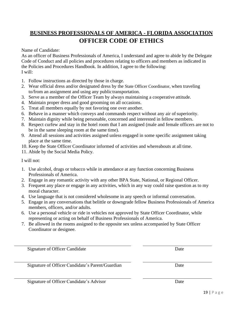# **BUSINESS PROFESSIONALS OF AMERICA - FLORIDA ASSOCIATION OFFICER CODE OF ETHICS**

Name of Candidate:

As an officer of Business Professionals of America, I understand and agree to abide by the Delegate Code of Conduct and all policies and procedures relating to officers and members as indicated in the Policies and Procedures Handbook. In addition, I agree to the following: I will:

- 1. Follow instructions as directed by those in charge.
- 2. Wear official dress and/or designated dress by the State Officer Coordinator, when traveling to/from an assignment and using any publictransportation.
- 3. Serve as a member of the Officer Team by always maintaining a cooperative attitude.
- 4. Maintain proper dress and good grooming on all occasions.
- 5. Treat all members equally by not favoring one over another.
- 6. Behave in a manner which conveys and commands respect without any air of superiority.
- 7. Maintain dignity while being personable, concerned and interested in fellow members.
- 8. Respect curfew and stay in the hotel room that I am assigned (male and female officers are not to be in the same sleeping room at the same time).
- 9. Attend all sessions and activities assigned unless engaged in some specific assignment taking place at the same time.
- 10. Keep the State Officer Coordinator informed of activities and whereabouts at all time.
- 11. Abide by the Social Media Policy.

I will not:

- 1. Use alcohol, drugs or tobacco while in attendance at any function concerning Business Professionals of America.
- 2. Engage in any romantic activity with any other BPA State, National, or Regional Officer.
- 3. Frequent any place or engage in any activities, which in any way could raise question as to my moral character.
- 4. Use language that is not considered wholesome in any speech or informal conversation.
- 5. Engage in any conversations that belittle or downgrade fellow Business Professionals of America members, officers, and/or adults.
- 6. Use a personal vehicle or ride in vehicles not approved by State Officer Coordinator, while representing or acting on behalf of Business Professionals of America.
- 7. Be allowed in the rooms assigned to the opposite sex unless accompanied by State Officer Coordinator or designee.

Signature of Officer Candidate Date

Signature of Officer Candidate's Parent/Guardian Date

Signature of Officer Candidate's Advisor Date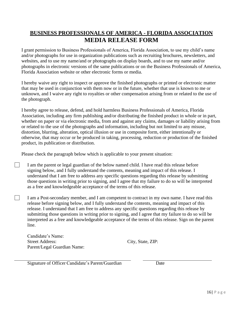# **BUSINESS PROFESSIONALS OF AMERICA - FLORIDA ASSOCIATION MEDIA RELEASE FORM**

I grant permission to Business Professionals of America, Florida Association, to use my child's name and/or photographs for use in organization publications such as recruiting brochures, newsletters, and websites, and to use my name/and or photographs on display boards, and to use my name and/or photographs in electronic versions of the same publications or on the Business Professionals of America, Florida Association website or other electronic forms or media.

I hereby waive any right to inspect or approve the finished photographs or printed or electronic matter that may be used in conjunction with them now or in the future, whether that use is known to me or unknown, and I waive any right to royalties or other compensation arising from or related to the use of the photograph.

I hereby agree to release, defend, and hold harmless Business Professionals of America, Florida Association, including any firm publishing and/or distributing the finished product in whole or in part, whether on paper or via electronic media, from and against any claims, damages or liability arising from or related to the use of the photographs and information, including but not limited to any misuse, distortion, blurring, alteration, optical illusion or use in composite form, either intentionally or otherwise, that may occur or be produced in taking, processing, reduction or production of the finished product, its publication or distribution.

Please check the paragraph below which is applicable to your present situation:

- I am the parent or legal guardian of the below named child. I have read this release before signing below, and I fully understand the contents, meaning and impact of this release. I understand that I am free to address any specific questions regarding this release by submitting those questions in writing prior to signing, and I agree that my failure to do so will be interpreted as a free and knowledgeable acceptance of the terms of this release.
- I am a Post-secondary member, and I am competent to contract in my own name. I have read this release before signing below, and I fully understand the contents, meaning and impact of this release. I understand that I am free to address any specific questions regarding this release by submitting those questions in writing prior to signing, and I agree that my failure to do so will be interpreted as a free and knowledgeable acceptance of the terms of this release. Sign on the parent line.

Candidate's Name: Street Address: City, State, ZIP: Parent/Legal Guardian Name:

 $\mathbf{I}$ 

 $\Box$ 

Signature of Officer Candidate's Parent/Guardian Date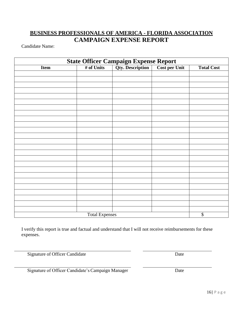# **BUSINESS PROFESSIONALS OF AMERICA - FLORIDA ASSOCIATION CAMPAIGN EXPENSE REPORT**

Candidate Name:

| <b>State Officer Campaign Expense Report</b><br># of Units Qty. Description Cost per U |                       |  |               |                          |  |
|----------------------------------------------------------------------------------------|-----------------------|--|---------------|--------------------------|--|
| <b>Item</b>                                                                            |                       |  | Cost per Unit | <b>Total Cost</b>        |  |
|                                                                                        |                       |  |               |                          |  |
|                                                                                        |                       |  |               |                          |  |
|                                                                                        |                       |  |               |                          |  |
|                                                                                        |                       |  |               |                          |  |
|                                                                                        |                       |  |               |                          |  |
|                                                                                        |                       |  |               |                          |  |
|                                                                                        |                       |  |               |                          |  |
|                                                                                        |                       |  |               |                          |  |
|                                                                                        |                       |  |               |                          |  |
|                                                                                        |                       |  |               |                          |  |
|                                                                                        |                       |  |               |                          |  |
|                                                                                        |                       |  |               |                          |  |
|                                                                                        |                       |  |               |                          |  |
|                                                                                        |                       |  |               |                          |  |
|                                                                                        |                       |  |               |                          |  |
|                                                                                        |                       |  |               |                          |  |
|                                                                                        |                       |  |               |                          |  |
|                                                                                        |                       |  |               |                          |  |
|                                                                                        |                       |  |               |                          |  |
|                                                                                        |                       |  |               |                          |  |
|                                                                                        |                       |  |               |                          |  |
|                                                                                        |                       |  |               |                          |  |
|                                                                                        |                       |  |               |                          |  |
|                                                                                        |                       |  |               |                          |  |
|                                                                                        | <b>Total Expenses</b> |  |               | $\overline{\mathcal{L}}$ |  |

I verify this report is true and factual and understand that I will not receive reimbursements for these expenses.

Signature of Officer Candidate Date

Signature of Officer Candidate's Campaign Manager Date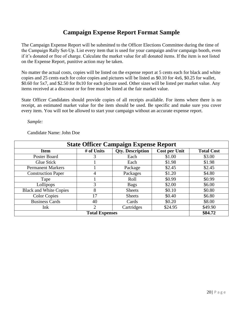# **Campaign Expense Report Format Sample**

The Campaign Expense Report will be submitted to the Officer Elections Committee during the time of the Campaign Rally Set‐Up. List every item that is used for your campaign and/or campaign booth, even if it's donated or free of charge. Calculate the market value for all donated items. If the item is not listed on the Expense Report, punitive action may be taken.

No matter the actual costs, copies will be listed on the expense report at 5 cents each for black and white copies and 25 cents each for color copies and pictures will be listed as \$0.10 for 4x6, \$0.25 for wallet, \$0.60 for 5x7, and \$2.50 for 8x10 for each picture used. Other sizes will be listed per market value. Any items received at a discount or for free must be listed at the fair market value.

State Officer Candidates should provide copies of all receipts available. For items where there is no receipt, an estimated market value for the item should be used. Be specific and make sure you cover every item. You will not be allowed to start your campaign without an accurate expense report.

*Sample:*

#### Candidate Name: John Doe

| <b>State Officer Campaign Expense Report</b> |            |                         |                      |                   |
|----------------------------------------------|------------|-------------------------|----------------------|-------------------|
| <b>Item</b>                                  | # of Units | <b>Qty. Description</b> | <b>Cost per Unit</b> | <b>Total Cost</b> |
| Poster Board                                 | 3          | Each                    | \$1.00               | \$3.00            |
| Glue Stick                                   |            | Each                    | \$1.98               | \$1.98            |
| <b>Permanent Markers</b>                     |            | Package                 | \$2.45               | \$2.45            |
| <b>Construction Paper</b>                    | 4          | Packages                | \$1.20               | \$4.80            |
| Tape                                         |            | Roll                    | \$0.99               | \$0.99            |
| Lollipops                                    | 3          | <b>Bags</b>             | \$2.00               | \$6.00            |
| <b>Black and White Copies</b>                | 8          | <b>Sheets</b>           | \$0.10               | \$0.80            |
| <b>Color Copies</b>                          | 17         | <b>Sheets</b>           | \$0.40               | \$6.80            |
| <b>Business Cards</b>                        | 40         | Cards                   | \$0.20               | \$8.00            |
| Ink                                          | 2          | Cartridges              | \$24.95              | \$49.90           |
| <b>Total Expenses</b>                        |            |                         |                      | \$84.72           |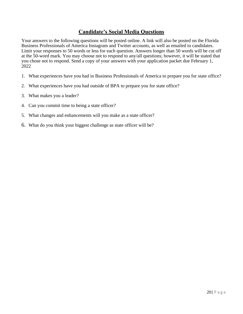## **Candidate's Social Media Questions**

Your answers to the following questions will be posted online. A link will also be posted on the Florida Business Professionals of America Instagram and Twitter accounts, as well as emailed to candidates. Limit your responses to 50 words or less for each question. Answers longer than 50 words will be cut off at the 50-word mark. You may choose not to respond to any/all questions; however, it will be stated that you chose not to respond. Send a copy of your answers with your application packet due February 1, 2022

- 1. What experiences have you had in Business Professionals of America to prepare you for state office?
- 2. What experiences have you had outside of BPA to prepare you for state office?
- 3. What makes you a leader?
- 4. Can you commit time to being a state officer?
- 5. What changes and enhancements will you make as a state officer?
- 6. What do you think your biggest challenge as state officer will be?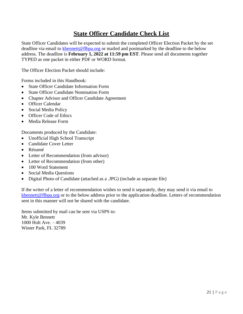# **State Officer Candidate Check List**

State Officer Candidates will be expected to submit the completed Officer Election Packet by the set deadline via email to [kbennett@flbpa.org](mailto:kbennett@flbpa.org) or mailed and postmarked by the deadline to the below address. The deadline is **February 1, 2022 at 11:59 pm EST**. Please send all documents together TYPED as one packet in either PDF or WORD format.

The Officer Election Packet should include:

Forms included in this Handbook:

- State Officer Candidate Information Form
- State Officer Candidate Nomination Form
- Chapter Advisor and Officer Candidate Agreement
- Officer Calendar
- Social Media Policy
- Officer Code of Ethics
- Media Release Form

Documents produced by the Candidate:

- Unofficial High School Transcript
- Candidate Cover Letter
- Résumé
- Letter of Recommendation (from advisor)
- Letter of Recommendation (from other)
- 100 Word Statement
- Social Media Questions
- Digital Photo of Candidate (attached as a .JPG) (include as separate file)

If the writer of a letter of recommendation wishes to send it separately, they may send it via email to [kbennett@flbpa.org](mailto:kbennett@flbpa.org) or to the below address prior to the application deadline. Letters of recommendation sent in this manner will not be shared with the candidate.

Items submitted by mail can be sent via USPS to: Mr. Kyle Bennett 1000 Holt Ave. – 4039 Winter Park, FL 32789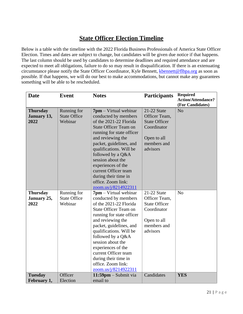# **State Officer Election Timeline**

Below is a table with the timeline with the 2022 Florida Business Professionals of America State Officer Election. Times and dates are subject to change, but candidates will be given due notice if that happens. The last column should be used by candidates to determine deadlines and required attendance and are expected to meet all obligations, failure to do so may result in disqualification. If there is an extenuating circumstance please notify the State Officer Coordinator, Kyle Bennett, [kbennett@flbpa.org](mailto:kbennett@flbpa.org) as soon as possible. If that happens, we will do our best to make accommodations, but cannot make any guarantees something will be able to be rescheduled.

| <b>Date</b>                            | <b>Event</b>                                  | <b>Notes</b>                                                                                                                                                                                                                                                                                                                                                                     | <b>Participants</b>                                                                                           | <b>Required</b><br><b>Action/Attendance?</b><br>(For Candidates) |
|----------------------------------------|-----------------------------------------------|----------------------------------------------------------------------------------------------------------------------------------------------------------------------------------------------------------------------------------------------------------------------------------------------------------------------------------------------------------------------------------|---------------------------------------------------------------------------------------------------------------|------------------------------------------------------------------|
| <b>Thursday</b><br>January 13,<br>2022 | Running for<br><b>State Office</b><br>Webinar | $7$ pm – Virtual webinar<br>conducted by members<br>of the 2021-22 Florida<br><b>State Officer Team on</b><br>running for state officer<br>and reviewing the<br>packet, guidelines, and<br>qualifications. Will be<br>followed by a Q&A<br>session about the<br>experiences of the<br>current Officer team<br>during their time in<br>office. Zoom link:<br>zoom.us/j/8214922311 | 21-22 State<br>Officer Team,<br><b>State Officer</b><br>Coordinator<br>Open to all<br>members and<br>advisors | N <sub>o</sub>                                                   |
| <b>Thursday</b><br>January 25,<br>2022 | Running for<br><b>State Office</b><br>Webinar | $7$ pm – Virtual webinar<br>conducted by members<br>of the 2021-22 Florida<br><b>State Officer Team on</b><br>running for state officer<br>and reviewing the<br>packet, guidelines, and<br>qualifications. Will be<br>followed by a Q&A<br>session about the<br>experiences of the<br>current Officer team<br>during their time in<br>office. Zoom link:<br>zoom.us/j/8214922311 | 21-22 State<br>Officer Team,<br><b>State Officer</b><br>Coordinator<br>Open to all<br>members and<br>advisors | N <sub>o</sub>                                                   |
| <b>Tuesday</b><br>February 1,          | Officer<br>Election                           | $11:59$ pm – Submit via<br>email to                                                                                                                                                                                                                                                                                                                                              | Candidates                                                                                                    | <b>YES</b>                                                       |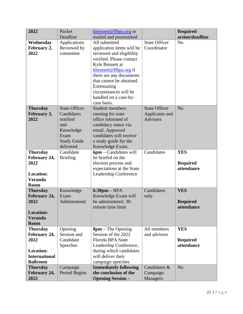| 2022                                                                                                   | Packet<br>Deadline                                                                                            | kbennett@flbpa.org or<br>mailed and postmarked                                                                                                                                                                                                                                        |                                                           | <b>Required</b><br>action/deadline          |
|--------------------------------------------------------------------------------------------------------|---------------------------------------------------------------------------------------------------------------|---------------------------------------------------------------------------------------------------------------------------------------------------------------------------------------------------------------------------------------------------------------------------------------|-----------------------------------------------------------|---------------------------------------------|
| Wednesday<br>February 2,<br>2022                                                                       | Applications<br>Reviewed by<br>committee                                                                      | All submitted<br>application items will be<br>reviewed and eligibility<br>verified. Please contact<br>Kyle Bennett at<br>kbennett@flbpa.org if<br>there are any documents<br>that cannot be obtained.<br>Extenuating<br>circumstances will be<br>handled on a case-by-<br>case basis. | <b>State Officer</b><br>Coordinator                       | N <sub>o</sub>                              |
| <b>Thursday</b><br>February 3,<br>2022                                                                 | <b>State Officer</b><br>Candidates<br>notified<br>and<br>Knowledge<br>Exam<br><b>Study Guide</b><br>delivered | <b>Student members</b><br>running for state<br>office informed of<br>candidacy status via<br>email. Approved<br>candidates will receive<br>a study guide for the<br>Knowledge Exam.                                                                                                   | <b>State Officer</b><br>Applicants and<br><b>Advisors</b> | N <sub>o</sub>                              |
| <b>Thursday</b><br>February 24,<br>2022<br><b>Location:</b><br><b>Veranda</b><br><b>Room</b>           | Candidate<br><b>Briefing</b>                                                                                  | $6$ pm – Candidates will<br>be briefed on the<br>election process and<br>expectations at the State<br>Leadership Conference                                                                                                                                                           | Candidates                                                | <b>YES</b><br><b>Required</b><br>attendance |
| <b>Thursday</b><br>February 24,<br>2022<br><b>Location:</b><br><b>Veranda</b><br><b>Room</b>           | Knowledge<br>Exam<br>Administered                                                                             | $6:30$ pm – BPA<br>Knowledge Exam will<br>be administered. 30-<br>minute time limit                                                                                                                                                                                                   | Candidates<br>only                                        | <b>YES</b><br><b>Required</b><br>attendance |
| <b>Thursday</b><br>February 24,<br>2022<br><b>Location:</b><br><b>International</b><br><b>Ballroom</b> | Opening<br>Session and<br>Candidate<br>Speeches                                                               | $8pm - The Opening$<br>Session of the 2022<br>Florida BPA State<br>Leadership Conference,<br>during which candidates<br>will deliver their<br>campaign speeches                                                                                                                       | All members<br>and advisors                               | <b>YES</b><br><b>Required</b><br>attendance |
| <b>Thursday</b><br>February 24,<br>2022                                                                | Campaign<br>Period Begins                                                                                     | <b>Immediately following</b><br>the conclusion of the<br><b>Opening Session -</b>                                                                                                                                                                                                     | Candidates &<br>Campaign<br>Managers                      | N <sub>o</sub>                              |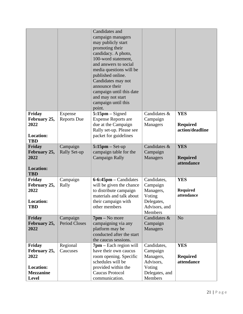|                                                                                        |                                  | Candidates and<br>campaign managers<br>may publicly start<br>promoting their<br>candidacy. A photo,<br>100-word statement,<br>and answers to social<br>media questions will be<br>published online.<br>Candidates may not<br>announce their<br>campaign until this date<br>and may not start<br>campaign until this<br>point. |                                                                                          |                                                  |
|----------------------------------------------------------------------------------------|----------------------------------|-------------------------------------------------------------------------------------------------------------------------------------------------------------------------------------------------------------------------------------------------------------------------------------------------------------------------------|------------------------------------------------------------------------------------------|--------------------------------------------------|
| Friday<br>February 25,<br>2022<br><b>Location:</b><br><b>TBD</b>                       | Expense<br><b>Reports Due</b>    | $5:15$ pm – Signed<br><b>Expense Reports are</b><br>due at the Campaign<br>Rally set-up. Please see<br>packet for guidelines                                                                                                                                                                                                  | Candidates &<br>Campaign<br>Managers                                                     | <b>YES</b><br><b>Required</b><br>action/deadline |
| Friday<br>February 25,<br>2022<br><b>Location:</b><br><b>TBD</b>                       | Campaign<br><b>Rally Set-up</b>  | $5:15$ pm – Set-up<br>campaign table for the<br><b>Campaign Rally</b>                                                                                                                                                                                                                                                         | Candidates &<br>Campaign<br>Managers                                                     | <b>YES</b><br><b>Required</b><br>attendance      |
| Friday<br>February 25,<br>2022<br><b>Location:</b><br>TBD                              | Campaign<br>Rally                | $6-6:45$ pm – Candidates<br>will be given the chance<br>to distribute campaign<br>materials and talk about<br>their campaign with<br>other members                                                                                                                                                                            | Candidates,<br>Campaign<br>Managers,<br>Voting<br>Delegates,<br>Advisors, and<br>Members | <b>YES</b><br><b>Required</b><br>attendance      |
| Friday<br>February 25,<br>2022                                                         | Campaign<br><b>Period Closes</b> | $7$ pm – No more<br>campaigning via any<br>platform may be<br>conducted after the start<br>the caucus sessions.                                                                                                                                                                                                               | Candidates &<br>Campaign<br>Managers                                                     | N <sub>o</sub>                                   |
| Friday<br>February 25,<br>2022<br><b>Location:</b><br><b>Mezzanine</b><br><b>Level</b> | Regional<br>Caucuses             | $7$ pm – Each region will<br>have their own caucus<br>room opening. Specific<br>schedules will be<br>provided within the<br><b>Caucus Protocol</b><br>communication.                                                                                                                                                          | Candidates,<br>Campaign<br>Managers,<br>Advisors,<br>Voting<br>Delegates, and<br>Members | <b>YES</b><br><b>Required</b><br>attendance      |